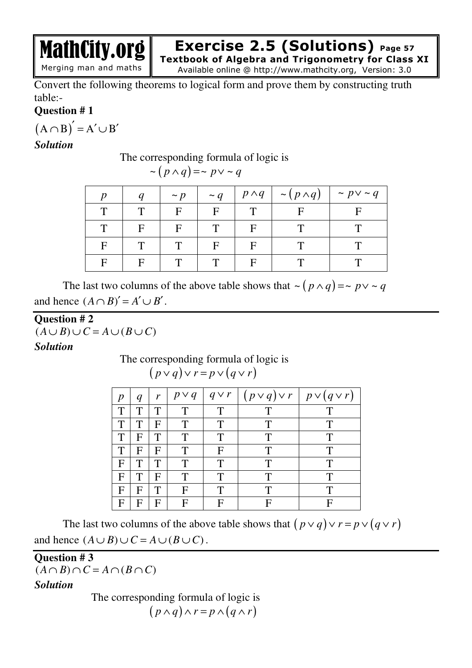**Exercise 2.5 (Solutions) Page 57**

**Textbook of Algebra and Trigonometry for Class XI**  Available online @ http://www.mathcity.org, Version: 3.0

Convert the following theorems to logical form and prove them by constructing truth table:-

## **Question # 1**

 $(A \cap B)' = A' \cup B'$ 

MathCity.org

Merging man and maths

## *Solution*

#### The corresponding formula of logic is

|  |  |  |  | $\sim (p \wedge q) = \sim p \vee \sim q$ |  |  |  |
|--|--|--|--|------------------------------------------|--|--|--|
|--|--|--|--|------------------------------------------|--|--|--|

|   |   | $\sim p$ | $\sim q$ | $p \wedge q$ | $\sim (p \wedge q)$ | $\sim p \vee \sim q$ |
|---|---|----------|----------|--------------|---------------------|----------------------|
| т |   | F        | F        |              |                     |                      |
| Т | F | F        | ௱        |              |                     |                      |
| F |   | ௱        | F        |              |                     |                      |
|   | F | ட        |          |              |                     |                      |

The last two columns of the above table shows that  $\sim (p \wedge q) = \sim p \vee \sim q$ and hence  $(A \cap B)' = A' \cup B'$ .

# **Question # 2**

 $(A \cup B) \cup C = A \cup (B \cup C)$ *Solution* 

> The corresponding formula of logic is  $(p \vee q) \vee r = p \vee (q \vee r)$

| $\boldsymbol{p}$ | $\boldsymbol{q}$ | r | $p \vee q$  | $q \vee r$ | $(p \vee q) \vee r \mid p \vee (q \vee r)$ |   |
|------------------|------------------|---|-------------|------------|--------------------------------------------|---|
| T                | Т                |   | T           | T          | Т                                          |   |
| T                | T                | F | T           | T          | T                                          | T |
| T                | F                | Т | T           | T          | T                                          | T |
| T                | F                | F | T           | F          | T                                          | T |
| F                | T                | Т | Т           | T          | T                                          | T |
| F                | T                | F | T           | T          | T                                          | T |
| F                | F                | Т | $\mathbf F$ | T          | Т                                          | Т |
| F                | F                | F | F           | F          | F                                          | Е |

The last two columns of the above table shows that  $(p \vee q) \vee r = p \vee (q \vee r)$ and hence  $(A \cup B) \cup C = A \cup (B \cup C)$ .

#### **Question # 3**

 $(A \cap B) \cap C = A \cap (B \cap C)$ 

*Solution* 

The corresponding formula of logic is  $(p \wedge q) \wedge r = p \wedge (q \wedge r)$